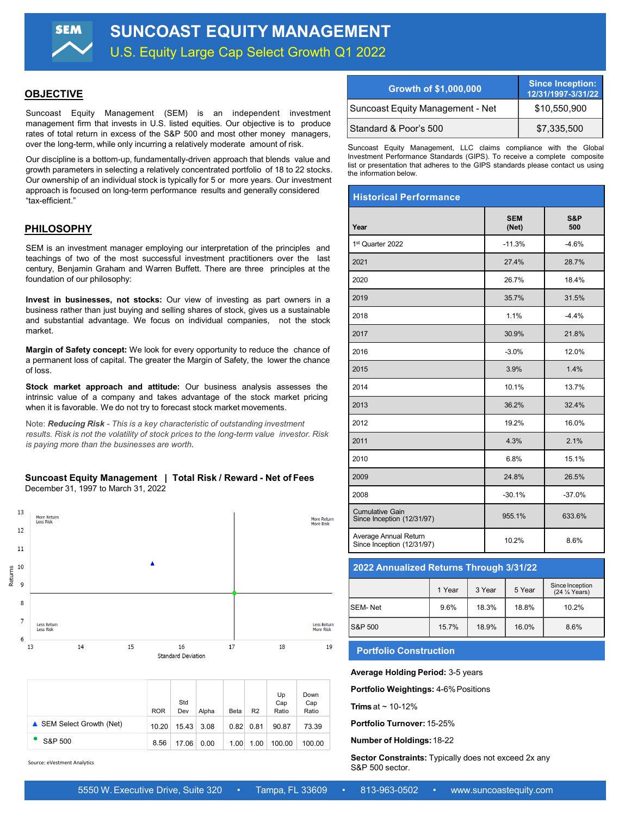U.S. Equity Large Cap Select Growth Q1 2022

### **OBJECTIVE**

Suncoast Equity Management (SEM) is an independent investment management firm that invests in U.S. listed equities. Our objective is to produce rates of total return in excess of the S&P 500 and most other money managers, over the long-term, while only incurring a relatively moderate amount of risk.

Our discipline is a bottom-up, fundamentally-driven approach that blends value and growth parameters in selecting a relatively concentrated portfolio of 18 to 22 stocks. Our ownership of an individual stock is typically for 5 or more years. Our investment approach is focused on long-term performance results and generally considered "tax-efficient."

## **PHILOSOPHY**

SEM is an investment manager employing our interpretation of the principles and teachings of two of the most successful investment practitioners over the last century, Benjamin Graham and Warren Buffett. There are three principles at the foundation of our philosophy:

**Invest in businesses, not stocks:** Our view of investing as part owners in a business rather than just buying and selling shares of stock, gives us a sustainable and substantial advantage. We focus on individual companies, not the stock market.

**Margin of Safety concept:** We look for every opportunity to reduce the chance of a permanent loss of capital. The greater the Margin of Safety, the lower the chance of loss.

**Stock market approach and attitude:** Our business analysis assesses the intrinsic value of a company and takes advantage of the stock market pricing when it is favorable. We do not try to forecast stock market movements.

Note: *Reducing Risk - This is a key characteristic of outstanding investment results. Risk is not the volatility of stock prices to the long-term value investor. Risk is paying more than the businesses are worth.*

#### **Suncoast Equity Management | Total Risk / Reward - Net of Fees** December 31, 1997 to March 31, 2022



|                           | <b>ROR</b> | Std<br>Dev | Alpha | Beta | R <sub>2</sub> | Up<br>Cap<br>Ratio | Down<br>Cap<br>Ratio |
|---------------------------|------------|------------|-------|------|----------------|--------------------|----------------------|
| ▲ SEM Select Growth (Net) | 10.20      | 15.43      | 3.08  | 0.82 | 0.81           | 90.87              | 73.39                |
| S&P 500                   | 8.56       | 17.06      | 0.00  | 1.00 | 1.00           | 100.00             | 100.00               |

Source: eVestment Analytics

| Growth of \$1,000,000            | <b>Since Inception:</b><br>12/31/1997-3/31/22 |
|----------------------------------|-----------------------------------------------|
| Suncoast Equity Management - Net | \$10.550.900                                  |
| Standard & Poor's 500            | \$7,335,500                                   |

Suncoast Equity Management, LLC claims compliance with the Global Investment Performance Standards (GIPS). To receive a complete composite list or presentation that adheres to the GIPS standards please contact us using the information below.

| <b>Historical Performance</b>                        |                     |            |  |  |
|------------------------------------------------------|---------------------|------------|--|--|
| Year                                                 | <b>SEM</b><br>(Net) | S&P<br>500 |  |  |
| 1st Quarter 2022                                     | $-11.3%$            | $-4.6%$    |  |  |
| 2021                                                 | 27.4%               | 28.7%      |  |  |
| 2020                                                 | 26.7%               | 18.4%      |  |  |
| 2019                                                 | 35.7%               | 31.5%      |  |  |
| 2018                                                 | 1.1%                | $-4.4%$    |  |  |
| 2017                                                 | 30.9%               | 21.8%      |  |  |
| 2016                                                 | $-3.0%$             | 12.0%      |  |  |
| 2015                                                 | 3.9%                | 1.4%       |  |  |
| 2014                                                 | 10.1%               | 13.7%      |  |  |
| 2013                                                 | 36.2%               | 32.4%      |  |  |
| 2012                                                 | 19.2%               | 16.0%      |  |  |
| 2011                                                 | 4.3%                | 2.1%       |  |  |
| 2010                                                 | 6.8%                | 15.1%      |  |  |
| 2009                                                 | 24.8%               | 26.5%      |  |  |
| 2008                                                 | $-30.1%$            | $-37.0%$   |  |  |
| <b>Cumulative Gain</b><br>Since Inception (12/31/97) | 955.1%              | 633.6%     |  |  |
| Average Annual Return<br>Since Inception (12/31/97)  | 10.2%               | 8.6%       |  |  |

### **2022 Annualized Returns Through 3/31/22**

|                | 1 Year | 3 Year | 5 Year | Since Inception<br>(24 % Years) |
|----------------|--------|--------|--------|---------------------------------|
| <b>SEM-Net</b> | 9.6%   | 18.3%  | 18.8%  | 10.2%                           |
| S&P 500        | 15.7%  | 18.9%  | 16.0%  | 8.6%                            |

#### **Portfolio Construction**

**Average Holding Period:** 3-5 years

**Portfolio Weightings:** 4-6%Positions

**Trims at**  $\sim$  **10-12%** 

**Portfolio Turnover:** 15-25%

**Number of Holdings:**18-22

**Sector Constraints:** Typically does not exceed 2x any S&P 500 sector.